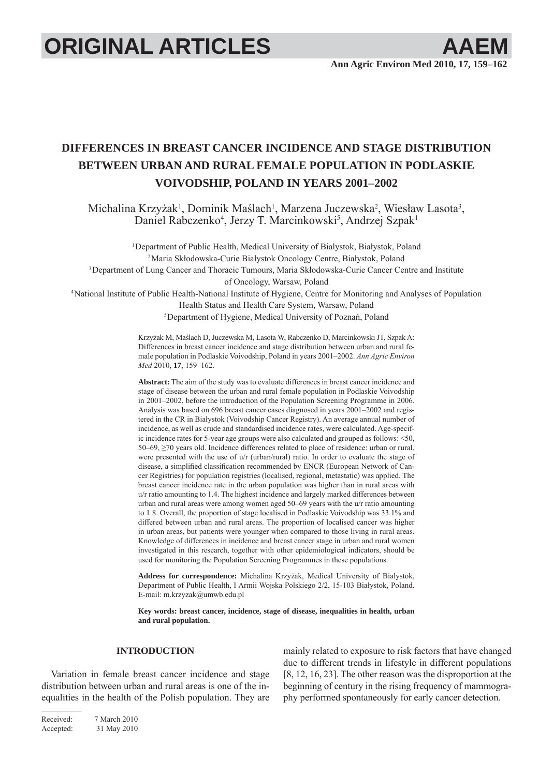# **ORIGINAL ARTICLES AAEM**

## **DIFFERENCES IN BREAST CANCER INCIDENCE AND STAGE DISTRIBUTION BETWEEN URBAN AND RURAL FEMALE POPULATION IN PODLASKIE VOIVODSHIP, POLAND IN YEARS 2001–2002**

Michalina Krzyżak<sup>1</sup>, Dominik Maślach<sup>1</sup>, Marzena Juczewska<sup>2</sup>, Wiesław Lasota<sup>3</sup>, Daniel Rabczenko<sup>4</sup>, Jerzy T. Marcinkowski<sup>5</sup>, Andrzej Szpak<sup>1</sup>

<sup>1</sup>Department of Public Health, Medical University of Bialystok, Białystok, Poland 2 Maria Skłodowska-Curie Bialystok Oncology Centre, Białystok, Poland 3 Department of Lung Cancer and Thoracic Tumours, Maria Skłodowska-Curie Cancer Centre and Institute of Oncology, Warsaw, Poland 4 National Institute of Public Health-National Institute of Hygiene, Centre for Monitoring and Analyses of Population

Health Status and Health Care System, Warsaw, Poland

5 Department of Hygiene, Medical University of Poznań, Poland

Krzyżak M, Maślach D, Juczewska M, Lasota W, Rabczenko D, Marcinkowski JT, Szpak A: Differences in breast cancer incidence and stage distribution between urban and rural female population in Podlaskie Voivodship, Poland in years 2001–2002. *Ann Agric Environ Med* 2010, **17**, 159–162.

**Abstract:** The aim of the study was to evaluate differences in breast cancer incidence and stage of disease between the urban and rural female population in Podlaskie Voivodship in 2001–2002, before the introduction of the Population Screening Programme in 2006. Analysis was based on 696 breast cancer cases diagnosed in years 2001–2002 and registered in the CR in Białystok (Voivodship Cancer Registry). An average annual number of incidence, as well as crude and standardised incidence rates, were calculated. Age-specific incidence rates for 5-year age groups were also calculated and grouped as follows: <50, 50–69, ≥70 years old. Incidence differences related to place of residence: urban or rural, were presented with the use of u/r (urban/rural) ratio. In order to evaluate the stage of disease, a simplified classification recommended by ENCR (European Network of Cancer Registries) for population registries (localised, regional, metastatic) was applied. The breast cancer incidence rate in the urban population was higher than in rural areas with u/r ratio amounting to 1.4. The highest incidence and largely marked differences between urban and rural areas were among women aged 50–69 years with the u/r ratio amounting to 1.8. Overall, the proportion of stage localised in Podlaskie Voivodship was 33.1% and differed between urban and rural areas. The proportion of localised cancer was higher in urban areas, but patients were younger when compared to those living in rural areas. Knowledge of differences in incidence and breast cancer stage in urban and rural women investigated in this research, together with other epidemiological indicators, should be used for monitoring the Population Screening Programmes in these populations.

**Address for correspondence:** Michalina Krzyżak, Medical University of Bialystok, Department of Public Health, I Armii Wojska Polskiego 2/2, 15-103 Białystok, Poland. E-mail: m.krzyzak@umwb.edu.pl

**Key words: breast cancer, incidence, stage of disease, inequalities in health, urban and rural population.**

### **INTRODUCTION**

Variation in female breast cancer incidence and stage distribution between urban and rural areas is one of the inequalities in the health of the Polish population. They are mainly related to exposure to risk factors that have changed due to different trends in lifestyle in different populations [8, 12, 16, 23]. The other reason was the disproportion at the beginning of century in the rising frequency of mammography performed spontaneously for early cancer detection.

Received: 7 March 2010 Accepted: 31 May 2010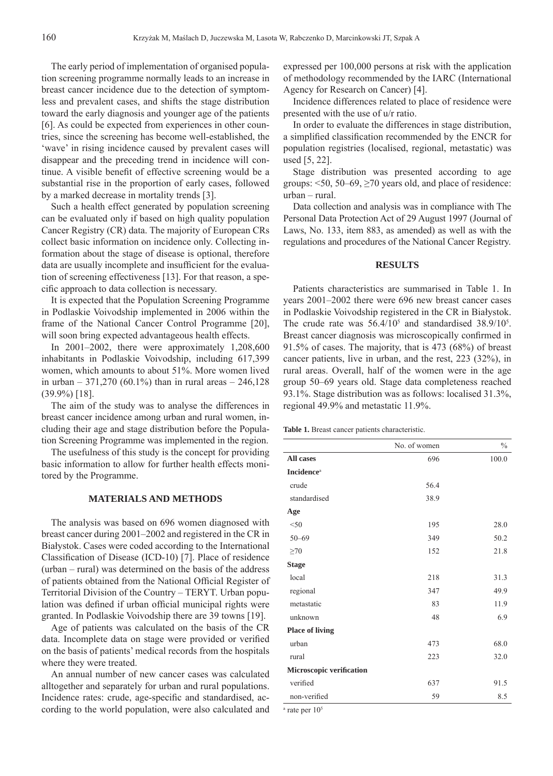The early period of implementation of organised population screening programme normally leads to an increase in breast cancer incidence due to the detection of symptomless and prevalent cases, and shifts the stage distribution toward the early diagnosis and younger age of the patients [6]. As could be expected from experiences in other countries, since the screening has become well-established, the 'wave' in rising incidence caused by prevalent cases will disappear and the preceding trend in incidence will continue. A visible benefit of effective screening would be a substantial rise in the proportion of early cases, followed by a marked decrease in mortality trends [3].

Such a health effect generated by population screening can be evaluated only if based on high quality population Cancer Registry (CR) data. The majority of European CRs collect basic information on incidence only. Collecting information about the stage of disease is optional, therefore data are usually incomplete and insufficient for the evaluation of screening effectiveness [13]. For that reason, a specific approach to data collection is necessary.

It is expected that the Population Screening Programme in Podlaskie Voivodship implemented in 2006 within the frame of the National Cancer Control Programme [20], will soon bring expected advantageous health effects.

In 2001–2002, there were approximately 1,208,600 inhabitants in Podlaskie Voivodship, including 617,399 women, which amounts to about 51%. More women lived in urban – 371,270 (60.1%) than in rural areas – 246,128 (39.9%) [18].

The aim of the study was to analyse the differences in breast cancer incidence among urban and rural women, including their age and stage distribution before the Population Screening Programme was implemented in the region.

The usefulness of this study is the concept for providing basic information to allow for further health effects monitored by the Programme.

#### **MATERIALS AND METHODS**

The analysis was based on 696 women diagnosed with breast cancer during 2001–2002 and registered in the CR in Białystok. Cases were coded according to the International Classification of Disease (ICD-10) [7]. Place of residence (urban – rural) was determined on the basis of the address of patients obtained from the National Official Register of Territorial Division of the Country – TERYT. Urban population was defined if urban official municipal rights were granted. In Podlaskie Voivodship there are 39 towns [19].

Age of patients was calculated on the basis of the CR data. Incomplete data on stage were provided or verified on the basis of patients' medical records from the hospitals where they were treated.

An annual number of new cancer cases was calculated alltogether and separately for urban and rural populations. Incidence rates: crude, age-specific and standardised, according to the world population, were also calculated and expressed per 100,000 persons at risk with the application of methodology recommended by the IARC (International Agency for Research on Cancer) [4].

Incidence differences related to place of residence were presented with the use of u/r ratio.

In order to evaluate the differences in stage distribution, a simplified classification recommended by the ENCR for population registries (localised, regional, metastatic) was used [5, 22].

Stage distribution was presented according to age groups:  $\leq 50$ ,  $50-69$ ,  $\geq 70$  years old, and place of residence: urban – rural.

Data collection and analysis was in compliance with The Personal Data Protection Act of 29 August 1997 (Journal of Laws, No. 133, item 883, as amended) as well as with the regulations and procedures of the National Cancer Registry.

#### **RESULTS**

Patients characteristics are summarised in Table 1. In years 2001–2002 there were 696 new breast cancer cases in Podlaskie Voivodship registered in the CR in Białystok. The crude rate was  $56.4/10^5$  and standardised  $38.9/10^5$ . Breast cancer diagnosis was microscopically confirmed in 91.5% of cases. The majority, that is 473 (68%) of breast cancer patients, live in urban, and the rest, 223 (32%), in rural areas. Overall, half of the women were in the age group 50–69 years old. Stage data completeness reached 93.1%. Stage distribution was as follows: localised 31.3%, regional 49.9% and metastatic 11.9%.

**Table 1.** Breast cancer patients characteristic.

|                               | No. of women | $\frac{0}{0}$ |
|-------------------------------|--------------|---------------|
| All cases                     | 696          | 100.0         |
| <b>Incidence</b> <sup>a</sup> |              |               |
| crude                         | 56.4         |               |
| standardised                  | 38.9         |               |
| Age                           |              |               |
| $<$ 50                        | 195          | 28.0          |
| $50 - 69$                     | 349          | 50.2          |
| $\geq 70$                     | 152          | 21.8          |
| <b>Stage</b>                  |              |               |
| local                         | 218          | 31.3          |
| regional                      | 347          | 49.9          |
| metastatic                    | 83           | 11.9          |
| unknown                       | 48           | 6.9           |
| <b>Place of living</b>        |              |               |
| urban                         | 473          | 68.0          |
| rural                         | 223          | 32.0          |
| Microscopic verification      |              |               |
| verified                      | 637          | 91.5          |
| non-verified                  | 59           | 8.5           |
| 105                           |              |               |

 $a$  rate per  $10<sup>5</sup>$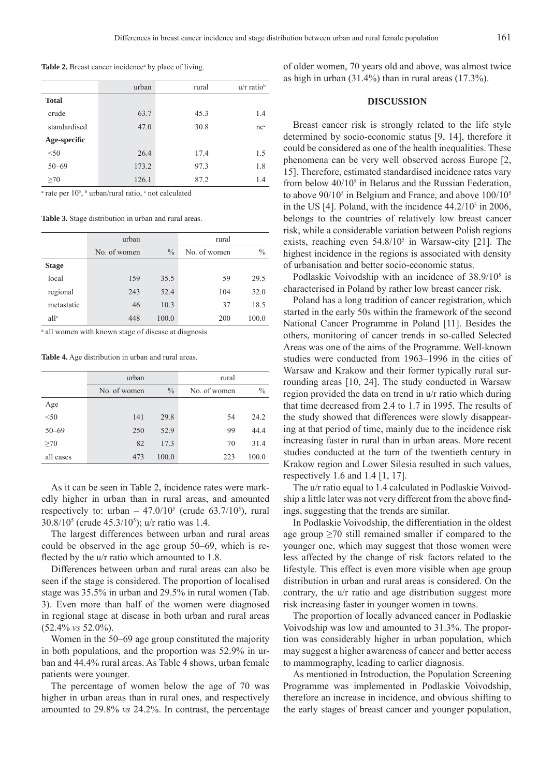Table 2. Breast cancer incidence<sup>a</sup> by place of living.

|              | urban | rural | $u/r$ ratio <sup>b</sup> |
|--------------|-------|-------|--------------------------|
| <b>Total</b> |       |       |                          |
| crude        | 63.7  | 45.3  | 1.4                      |
| standardised | 47.0  | 30.8  | nc <sup>c</sup>          |
| Age-specific |       |       |                          |
| < 50         | 26.4  | 17.4  | 1.5                      |
| $50 - 69$    | 173.2 | 97.3  | 1.8                      |
| >70          | 126.1 | 87.2  | 1.4                      |

<sup>a</sup> rate per 10<sup>5</sup>, <sup>b</sup> urban/rural ratio, <sup>c</sup> not calculated

**Table 3.** Stage distribution in urban and rural areas.

|                  | urban        |               | rural        |               |
|------------------|--------------|---------------|--------------|---------------|
|                  | No. of women | $\frac{0}{0}$ | No. of women | $\frac{0}{0}$ |
| <b>Stage</b>     |              |               |              |               |
| local            | 159          | 35.5          | 59           | 29.5          |
| regional         | 243          | 52.4          | 104          | 52.0          |
| metastatic       | 46           | 10.3          | 37           | 18.5          |
| all <sup>a</sup> | 448          | 100.0         | 200          | 100.0         |

a all women with known stage of disease at diagnosis

**Table 4.** Age distribution in urban and rural areas.

|           | urban        |               | rural        |               |
|-----------|--------------|---------------|--------------|---------------|
|           | No. of women | $\frac{0}{0}$ | No. of women | $\frac{0}{0}$ |
| Age       |              |               |              |               |
| < 50      | 141          | 29.8          | 54           | 24.2          |
| $50 - 69$ | 250          | 52.9          | 99           | 44.4          |
| $\geq 70$ | 82           | 17.3          | 70           | 31.4          |
| all cases | 473          | 100.0         | 223          | 100.0         |

As it can be seen in Table 2, incidence rates were markedly higher in urban than in rural areas, and amounted respectively to: urban  $-47.0/10^5$  (crude 63.7/10<sup>5</sup>), rural 30.8/105 (crude 45.3/105 ); u/r ratio was 1.4.

The largest differences between urban and rural areas could be observed in the age group 50–69, which is reflected by the u/r ratio which amounted to 1.8.

Differences between urban and rural areas can also be seen if the stage is considered. The proportion of localised stage was 35.5% in urban and 29.5% in rural women (Tab. 3). Even more than half of the women were diagnosed in regional stage at disease in both urban and rural areas (52.4% *vs* 52.0%).

Women in the 50–69 age group constituted the majority in both populations, and the proportion was 52.9% in urban and 44.4% rural areas. As Table 4 shows, urban female patients were younger.

The percentage of women below the age of 70 was higher in urban areas than in rural ones, and respectively amounted to 29.8% *vs* 24.2%. In contrast, the percentage

of older women, 70 years old and above, was almost twice as high in urban  $(31.4\%)$  than in rural areas  $(17.3\%)$ .

#### **DISCUSSION**

Breast cancer risk is strongly related to the life style determined by socio-economic status [9, 14], therefore it could be considered as one of the health inequalities. These phenomena can be very well observed across Europe [2, 15]. Therefore, estimated standardised incidence rates vary from below  $40/10^5$  in Belarus and the Russian Federation, to above  $90/10<sup>5</sup>$  in Belgium and France, and above  $100/10<sup>5</sup>$ in the US [4]. Poland, with the incidence  $44.2/10^5$  in 2006, belongs to the countries of relatively low breast cancer risk, while a considerable variation between Polish regions exists, reaching even  $54.8/10^5$  in Warsaw-city [21]. The highest incidence in the regions is associated with density of urbanisation and better socio-economic status.

Podlaskie Voivodship with an incidence of  $38.9/10^5$  is characterised in Poland by rather low breast cancer risk.

Poland has a long tradition of cancer registration, which started in the early 50s within the framework of the second National Cancer Programme in Poland [11]. Besides the others, monitoring of cancer trends in so-called Selected Areas was one of the aims of the Programme. Well-known studies were conducted from 1963–1996 in the cities of Warsaw and Krakow and their former typically rural surrounding areas [10, 24]. The study conducted in Warsaw region provided the data on trend in u/r ratio which during that time decreased from 2.4 to 1.7 in 1995. The results of the study showed that differences were slowly disappearing at that period of time, mainly due to the incidence risk increasing faster in rural than in urban areas. More recent studies conducted at the turn of the twentieth century in Krakow region and Lower Silesia resulted in such values, respectively 1.6 and 1.4  $[1, 17]$ .

The u/r ratio equal to 1.4 calculated in Podlaskie Voivodship a little later was not very different from the above findings, suggesting that the trends are similar.

In Podlaskie Voivodship, the differentiation in the oldest age group  $\geq$ 70 still remained smaller if compared to the younger one, which may suggest that those women were less affected by the change of risk factors related to the lifestyle. This effect is even more visible when age group distribution in urban and rural areas is considered. On the contrary, the u/r ratio and age distribution suggest more risk increasing faster in younger women in towns.

The proportion of locally advanced cancer in Podlaskie Voivodship was low and amounted to 31.3%. The proportion was considerably higher in urban population, which may suggest a higher awareness of cancer and better access to mammography, leading to earlier diagnosis.

As mentioned in Introduction, the Population Screening Programme was implemented in Podlaskie Voivodship, therefore an increase in incidence, and obvious shifting to the early stages of breast cancer and younger population,